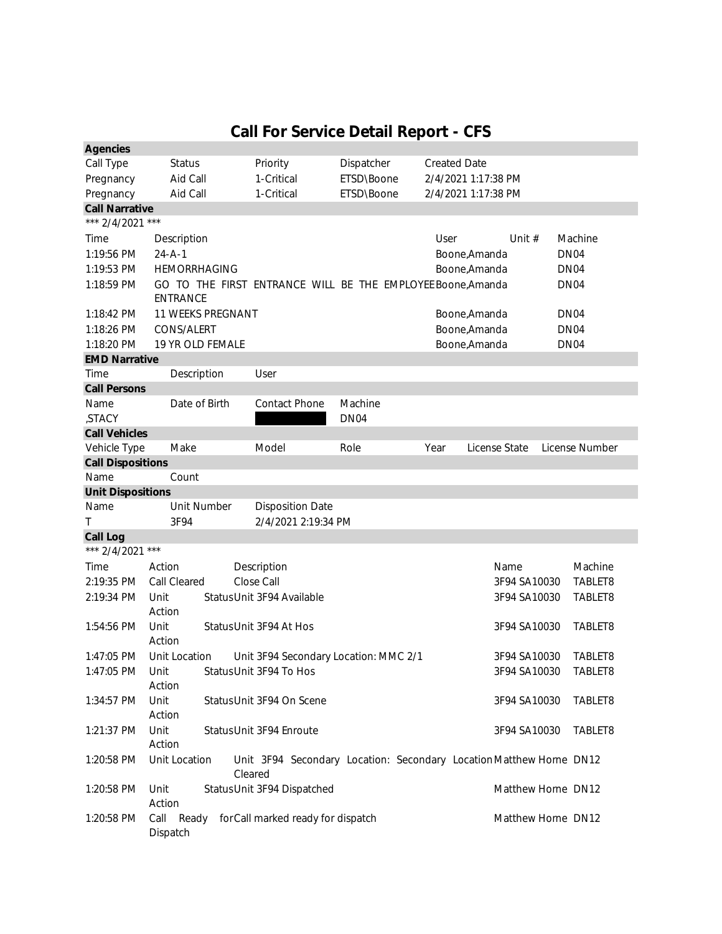## **Call For Service Detail Report - CFS**

| <b>Agencies</b>          |                                                             |                                                                     |                  |                     |                    |                  |
|--------------------------|-------------------------------------------------------------|---------------------------------------------------------------------|------------------|---------------------|--------------------|------------------|
| Call Type                | <b>Status</b>                                               | Priority                                                            | Dispatcher       | <b>Created Date</b> |                    |                  |
| Pregnancy                | Aid Call                                                    | 1-Critical                                                          | ETSD\Boone       | 2/4/2021 1:17:38 PM |                    |                  |
| Pregnancy                | Aid Call                                                    | 1-Critical                                                          | ETSD\Boone       | 2/4/2021 1:17:38 PM |                    |                  |
| <b>Call Narrative</b>    |                                                             |                                                                     |                  |                     |                    |                  |
| *** 2/4/2021 ***         |                                                             |                                                                     |                  |                     |                    |                  |
| Time                     | Description                                                 |                                                                     |                  | User                | Unit $#$           | Machine          |
| 1:19:56 PM               | $24 - A - 1$                                                |                                                                     |                  | Boone, Amanda       |                    | DN <sub>04</sub> |
| 1:19:53 PM               | <b>HEMORRHAGING</b>                                         |                                                                     |                  | Boone, Amanda       |                    | DN <sub>04</sub> |
| 1:18:59 PM               | GO TO THE FIRST ENTRANCE WILL BE THE EMPLOYEE Boone, Amanda |                                                                     |                  |                     |                    | DN <sub>04</sub> |
|                          | <b>ENTRANCE</b>                                             |                                                                     |                  |                     |                    |                  |
| 1:18:42 PM               | 11 WEEKS PREGNANT                                           |                                                                     |                  | Boone, Amanda       |                    | DN <sub>04</sub> |
| 1:18:26 PM               | CONS/ALERT                                                  |                                                                     | Boone, Amanda    |                     |                    | DN <sub>04</sub> |
| 1:18:20 PM               | 19 YR OLD FEMALE                                            |                                                                     | Boone, Amanda    |                     |                    | DN <sub>04</sub> |
| <b>EMD Narrative</b>     |                                                             |                                                                     |                  |                     |                    |                  |
| Time                     | Description                                                 | User                                                                |                  |                     |                    |                  |
| <b>Call Persons</b>      |                                                             |                                                                     |                  |                     |                    |                  |
| Name                     | Date of Birth                                               | <b>Contact Phone</b>                                                | Machine          |                     |                    |                  |
| ,STACY                   |                                                             |                                                                     | DN <sub>04</sub> |                     |                    |                  |
| <b>Call Vehicles</b>     |                                                             |                                                                     |                  |                     |                    |                  |
| Vehicle Type             | Make                                                        | Model                                                               | Role             | Year                | License State      | License Number   |
| <b>Call Dispositions</b> |                                                             |                                                                     |                  |                     |                    |                  |
| Name                     | Count                                                       |                                                                     |                  |                     |                    |                  |
| <b>Unit Dispositions</b> |                                                             |                                                                     |                  |                     |                    |                  |
| Name                     | Unit Number                                                 | <b>Disposition Date</b>                                             |                  |                     |                    |                  |
| Τ                        | 3F94                                                        | 2/4/2021 2:19:34 PM                                                 |                  |                     |                    |                  |
| <b>Call Log</b>          |                                                             |                                                                     |                  |                     |                    |                  |
| *** 2/4/2021             | $***$                                                       |                                                                     |                  |                     |                    |                  |
| Time                     | Action                                                      | Description                                                         |                  |                     | Name               | Machine          |
| 2:19:35 PM               | <b>Call Cleared</b>                                         | Close Call                                                          |                  |                     | 3F94 SA10030       | TABLET8          |
| 2:19:34 PM               | Unit                                                        | Status Unit 3F94 Available                                          |                  |                     | 3F94 SA10030       | TABLET8          |
|                          | Action                                                      |                                                                     |                  |                     |                    |                  |
| 1:54:56 PM               | Unit                                                        | Status Unit 3F94 At Hos                                             |                  |                     | 3F94 SA10030       | TABLET8          |
|                          | Action                                                      |                                                                     |                  |                     |                    |                  |
| 1:47:05 PM               | Unit Location                                               | Unit 3F94 Secondary Location: MMC 2/1                               |                  |                     | 3F94 SA10030       | TABLET8          |
| 1:47:05 PM Unit          |                                                             | Status Unit 3F94 To Hos                                             |                  |                     | 3F94 SA10030       | TABLET8          |
|                          | Action                                                      |                                                                     |                  |                     |                    |                  |
| 1:34:57 PM               | Unit                                                        | Status Unit 3F94 On Scene                                           |                  |                     | 3F94 SA10030       | TABLET8          |
|                          | Action                                                      |                                                                     |                  |                     |                    |                  |
| 1:21:37 PM               | Unit                                                        | Status Unit 3F94 Enroute                                            |                  |                     | 3F94 SA10030       | TABLET8          |
|                          | Action                                                      |                                                                     |                  |                     |                    |                  |
| 1:20:58 PM               | <b>Unit Location</b>                                        | Unit 3F94 Secondary Location: Secondary Location Matthew Horne DN12 |                  |                     |                    |                  |
|                          |                                                             | Cleared                                                             |                  |                     |                    |                  |
| 1:20:58 PM               | Unit                                                        | Status Unit 3F94 Dispatched                                         |                  |                     | Matthew Horne DN12 |                  |
|                          | Action                                                      |                                                                     |                  |                     |                    |                  |
| 1:20:58 PM               | Call Ready<br>Dispatch                                      | for Call marked ready for dispatch                                  |                  |                     | Matthew Horne DN12 |                  |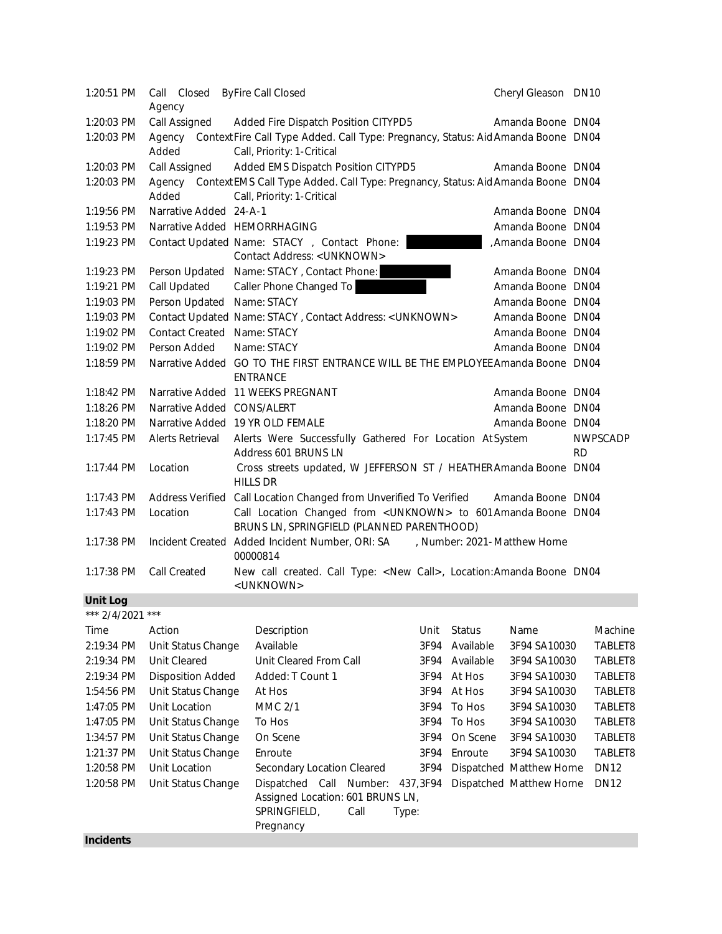| 1:20:51 PM                  | Call Closed ByFire Call Closed<br>Agency |                                                                                                                       | Cheryl Gleason DN10 |                              |
|-----------------------------|------------------------------------------|-----------------------------------------------------------------------------------------------------------------------|---------------------|------------------------------|
| 1:20:03 PM                  | Call Assigned                            | Added Fire Dispatch Position CITYPD5                                                                                  | Amanda Boone DN04   |                              |
| 1:20:03 PM                  | Added                                    | Agency ContextFire Call Type Added. Call Type: Pregnancy, Status: Aid Amanda Boone DN04<br>Call, Priority: 1-Critical |                     |                              |
| 1:20:03 PM                  | Call Assigned                            | Added EMS Dispatch Position CITYPD5                                                                                   | Amanda Boone DN04   |                              |
| 1:20:03 PM                  | Added                                    | Agency Context EMS Call Type Added. Call Type: Pregnancy, Status: Aid Amanda Boone DN04<br>Call, Priority: 1-Critical |                     |                              |
| 1:19:56 PM                  | Narrative Added 24-A-1                   |                                                                                                                       | Amanda Boone DN04   |                              |
| 1:19:53 PM                  |                                          | Narrative Added HEMORRHAGING                                                                                          | Amanda Boone DN04   |                              |
| 1:19:23 PM                  |                                          | Contact Updated Name: STACY, Contact Phone:<br>Contact Address: < UNKNOWN>                                            | Amanda Boone DN04   |                              |
| 1:19:23 PM                  |                                          | Person Updated Name: STACY, Contact Phone:                                                                            | Amanda Boone DN04   |                              |
| 1:19:21 PM                  | <b>Call Updated</b>                      | Caller Phone Changed To                                                                                               | Amanda Boone DN04   |                              |
| 1:19:03 PM                  | Person Updated Name: STACY               |                                                                                                                       | Amanda Boone DN04   |                              |
| 1:19:03 PM                  |                                          | Contact Updated Name: STACY, Contact Address: < UNKNOWN>                                                              | Amanda Boone DN04   |                              |
| 1:19:02 PM                  | <b>Contact Created</b>                   | Name: STACY                                                                                                           | Amanda Boone DN04   |                              |
| 1:19:02 PM                  | Person Added                             | Name: STACY                                                                                                           | Amanda Boone DN04   |                              |
| 1:18:59 PM                  |                                          | Narrative Added GO TO THE FIRST ENTRANCE WILL BE THE EMPLOYEE Amanda Boone DN04<br><b>ENTRANCE</b>                    |                     |                              |
| 1:18:42 PM                  |                                          | Narrative Added 11 WEEKS PREGNANT                                                                                     | Amanda Boone DN04   |                              |
| 1:18:26 PM                  | Narrative Added CONS/ALERT               |                                                                                                                       | Amanda Boone DN04   |                              |
| 1:18:20 PM                  |                                          | Narrative Added 19 YR OLD FEMALE                                                                                      | Amanda Boone DN04   |                              |
| 1:17:45 PM                  | <b>Alerts Retrieval</b>                  | Alerts Were Successfully Gathered For Location AtSystem<br>Address 601 BRUNS LN                                       |                     | <b>NWPSCADP</b><br><b>RD</b> |
| 1:17:44 PM                  | Location                                 | Cross streets updated, W JEFFERSON ST / HEATHER Amanda Boone DN04<br><b>HILLS DR</b>                                  |                     |                              |
| $1:17:43$ PM                |                                          | Address Verified Call Location Changed from Unverified To Verified                                                    | Amanda Boone DN04   |                              |
| 1:17:43 PM                  | Location                                 | Call Location Changed from < UNKNOWN> to 601 Amanda Boone DN04<br>BRUNS LN, SPRINGFIELD (PLANNED PARENTHOOD)          |                     |                              |
| 1:17:38 PM                  |                                          | Incident Created Added Incident Number, ORI: SA , Number: 2021-Matthew Horne<br>00000814                              |                     |                              |
| 1:17:38 PM                  | <b>Call Created</b>                      | New call created. Call Type: < New Call>, Location: Amanda Boone DN04<br><unknown></unknown>                          |                     |                              |
| $\sim$ $\sim$ $\sim$ $\sim$ |                                          |                                                                                                                       |                     |                              |

## **Unit Log**

| *** $2/4/2021$ | $***$                    |                                  |      |               |              |                          |             |
|----------------|--------------------------|----------------------------------|------|---------------|--------------|--------------------------|-------------|
| Time           | Action                   | Description                      | Unit | <b>Status</b> | Name         | Machine                  |             |
| 2:19:34 PM     | Unit Status Change       | Available                        | 3F94 | Available     | 3F94 SA10030 | TABLET8                  |             |
| 2:19:34 PM     | <b>Unit Cleared</b>      | Unit Cleared From Call           | 3F94 | Available     | 3F94 SA10030 | TABLET8                  |             |
| 2:19:34 PM     | <b>Disposition Added</b> | Added: T Count 1                 |      | 3F94 At Hos   | 3F94 SA10030 | TABLET8                  |             |
| 1:54:56 PM     | Unit Status Change       | At Hos                           | 3F94 | At Hos        | 3F94 SA10030 | TABLET8                  |             |
| 1:47:05 PM     | Unit Location            | <b>MMC 2/1</b>                   | 3F94 | To Hos        | 3F94 SA10030 | TABLET8                  |             |
| 1:47:05 PM     | Unit Status Change       | To Hos                           | 3F94 | To Hos        | 3F94 SA10030 | TABLET8                  |             |
| 1:34:57 PM     | Unit Status Change       | On Scene                         | 3F94 | On Scene      | 3F94 SA10030 | TABLET8                  |             |
| 1:21:37 PM     | Unit Status Change       | Enroute                          |      | 3F94          | Enroute      | 3F94 SA10030             | TABLET8     |
| 1:20:58 PM     | Unit Location            | Secondary Location Cleared       |      | 3F94          |              | Dispatched Matthew Horne | <b>DN12</b> |
| 1:20:58 PM     | Unit Status Change       | Dispatched Call Number:          |      | 437,3F94      |              | Dispatched Matthew Horne | <b>DN12</b> |
|                |                          | Assigned Location: 601 BRUNS LN, |      |               |              |                          |             |
|                |                          | SPRINGFIELD,                     | Call | Type:         |              |                          |             |
|                |                          | Pregnancy                        |      |               |              |                          |             |